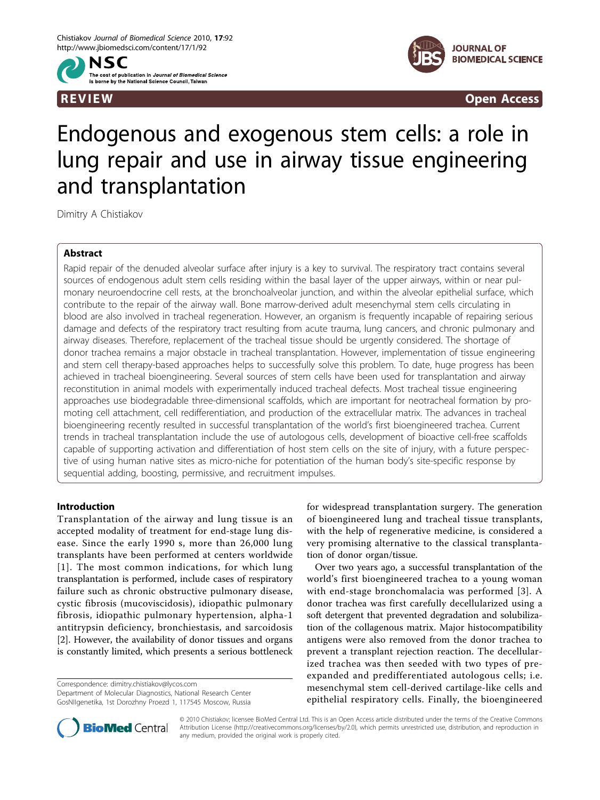



R EVI EW Open Access

# Endogenous and exogenous stem cells: a role in lung repair and use in airway tissue engineering and transplantation

Dimitry A Chistiakov

# Abstract

Rapid repair of the denuded alveolar surface after injury is a key to survival. The respiratory tract contains several sources of endogenous adult stem cells residing within the basal layer of the upper airways, within or near pulmonary neuroendocrine cell rests, at the bronchoalveolar junction, and within the alveolar epithelial surface, which contribute to the repair of the airway wall. Bone marrow-derived adult mesenchymal stem cells circulating in blood are also involved in tracheal regeneration. However, an organism is frequently incapable of repairing serious damage and defects of the respiratory tract resulting from acute trauma, lung cancers, and chronic pulmonary and airway diseases. Therefore, replacement of the tracheal tissue should be urgently considered. The shortage of donor trachea remains a major obstacle in tracheal transplantation. However, implementation of tissue engineering and stem cell therapy-based approaches helps to successfully solve this problem. To date, huge progress has been achieved in tracheal bioengineering. Several sources of stem cells have been used for transplantation and airway reconstitution in animal models with experimentally induced tracheal defects. Most tracheal tissue engineering approaches use biodegradable three-dimensional scaffolds, which are important for neotracheal formation by promoting cell attachment, cell redifferentiation, and production of the extracellular matrix. The advances in tracheal bioengineering recently resulted in successful transplantation of the world's first bioengineered trachea. Current trends in tracheal transplantation include the use of autologous cells, development of bioactive cell-free scaffolds capable of supporting activation and differentiation of host stem cells on the site of injury, with a future perspective of using human native sites as micro-niche for potentiation of the human body's site-specific response by sequential adding, boosting, permissive, and recruitment impulses.

# Introduction

Transplantation of the airway and lung tissue is an accepted modality of treatment for end-stage lung disease. Since the early 1990 s, more than 26,000 lung transplants have been performed at centers worldwide [[1\]](#page-6-0). The most common indications, for which lung transplantation is performed, include cases of respiratory failure such as chronic obstructive pulmonary disease, cystic fibrosis (mucoviscidosis), idiopathic pulmonary fibrosis, idiopathic pulmonary hypertension, alpha-1 antitrypsin deficiency, bronchiestasis, and sarcoidosis [[2\]](#page-6-0). However, the availability of donor tissues and organs is constantly limited, which presents a serious bottleneck

Correspondence: [dimitry.chistiakov@lycos.com](mailto:dimitry.chistiakov@lycos.com)

Department of Molecular Diagnostics, National Research Center GosNIIgenetika, 1st Dorozhny Proezd 1, 117545 Moscow, Russia for widespread transplantation surgery. The generation of bioengineered lung and tracheal tissue transplants, with the help of regenerative medicine, is considered a very promising alternative to the classical transplantation of donor organ/tissue.

Over two years ago, a successful transplantation of the world's first bioengineered trachea to a young woman with end-stage bronchomalacia was performed [[3](#page-6-0)]. A donor trachea was first carefully decellularized using a soft detergent that prevented degradation and solubilization of the collagenous matrix. Major histocompatibility antigens were also removed from the donor trachea to prevent a transplant rejection reaction. The decellularized trachea was then seeded with two types of preexpanded and predifferentiated autologous cells; i.e. mesenchymal stem cell-derived cartilage-like cells and epithelial respiratory cells. Finally, the bioengineered



© 2010 Chistiakov; licensee BioMed Central Ltd. This is an Open Access article distributed under the terms of the Creative Commons Attribution License [\(http://creativecommons.org/licenses/by/2.0](http://creativecommons.org/licenses/by/2.0)), which permits unrestricted use, distribution, and reproduction in any medium, provided the original work is properly cited.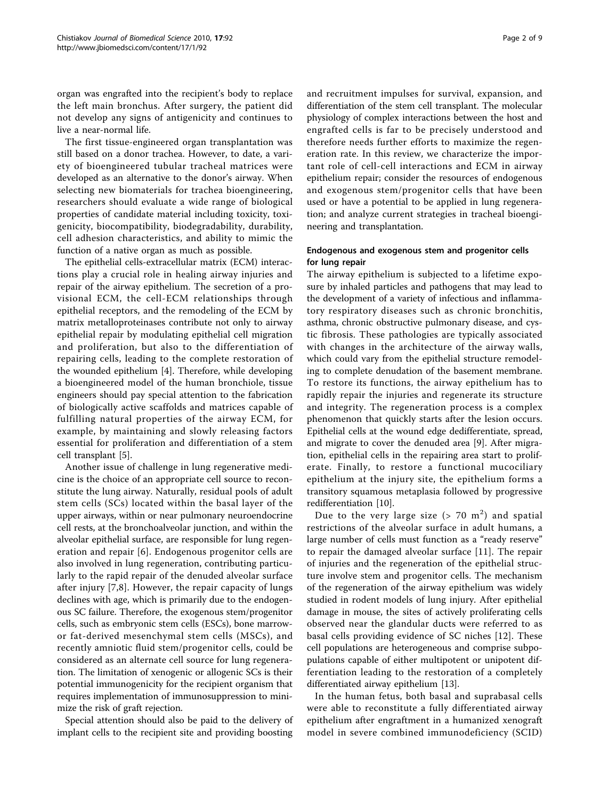organ was engrafted into the recipient's body to replace the left main bronchus. After surgery, the patient did not develop any signs of antigenicity and continues to live a near-normal life.

The first tissue-engineered organ transplantation was still based on a donor trachea. However, to date, a variety of bioengineered tubular tracheal matrices were developed as an alternative to the donor's airway. When selecting new biomaterials for trachea bioengineering, researchers should evaluate a wide range of biological properties of candidate material including toxicity, toxigenicity, biocompatibility, biodegradability, durability, cell adhesion characteristics, and ability to mimic the function of a native organ as much as possible.

The epithelial cells-extracellular matrix (ECM) interactions play a crucial role in healing airway injuries and repair of the airway epithelium. The secretion of a provisional ECM, the cell-ECM relationships through epithelial receptors, and the remodeling of the ECM by matrix metalloproteinases contribute not only to airway epithelial repair by modulating epithelial cell migration and proliferation, but also to the differentiation of repairing cells, leading to the complete restoration of the wounded epithelium [\[4\]](#page-6-0). Therefore, while developing a bioengineered model of the human bronchiole, tissue engineers should pay special attention to the fabrication of biologically active scaffolds and matrices capable of fulfilling natural properties of the airway ECM, for example, by maintaining and slowly releasing factors essential for proliferation and differentiation of a stem cell transplant [\[5](#page-6-0)].

Another issue of challenge in lung regenerative medicine is the choice of an appropriate cell source to reconstitute the lung airway. Naturally, residual pools of adult stem cells (SCs) located within the basal layer of the upper airways, within or near pulmonary neuroendocrine cell rests, at the bronchoalveolar junction, and within the alveolar epithelial surface, are responsible for lung regeneration and repair [[6\]](#page-6-0). Endogenous progenitor cells are also involved in lung regeneration, contributing particularly to the rapid repair of the denuded alveolar surface after injury [\[7,8\]](#page-6-0). However, the repair capacity of lungs declines with age, which is primarily due to the endogenous SC failure. Therefore, the exogenous stem/progenitor cells, such as embryonic stem cells (ESCs), bone marrowor fat-derived mesenchymal stem cells (MSCs), and recently amniotic fluid stem/progenitor cells, could be considered as an alternate cell source for lung regeneration. The limitation of xenogenic or allogenic SCs is their potential immunogenicity for the recipient organism that requires implementation of immunosuppression to minimize the risk of graft rejection.

Special attention should also be paid to the delivery of implant cells to the recipient site and providing boosting and recruitment impulses for survival, expansion, and differentiation of the stem cell transplant. The molecular physiology of complex interactions between the host and engrafted cells is far to be precisely understood and therefore needs further efforts to maximize the regeneration rate. In this review, we characterize the important role of cell-cell interactions and ECM in airway epithelium repair; consider the resources of endogenous and exogenous stem/progenitor cells that have been used or have a potential to be applied in lung regeneration; and analyze current strategies in tracheal bioengineering and transplantation.

## Endogenous and exogenous stem and progenitor cells for lung repair

The airway epithelium is subjected to a lifetime exposure by inhaled particles and pathogens that may lead to the development of a variety of infectious and inflammatory respiratory diseases such as chronic bronchitis, asthma, chronic obstructive pulmonary disease, and cystic fibrosis. These pathologies are typically associated with changes in the architecture of the airway walls, which could vary from the epithelial structure remodeling to complete denudation of the basement membrane. To restore its functions, the airway epithelium has to rapidly repair the injuries and regenerate its structure and integrity. The regeneration process is a complex phenomenon that quickly starts after the lesion occurs. Epithelial cells at the wound edge dedifferentiate, spread, and migrate to cover the denuded area [\[9](#page-6-0)]. After migration, epithelial cells in the repairing area start to proliferate. Finally, to restore a functional mucociliary epithelium at the injury site, the epithelium forms a transitory squamous metaplasia followed by progressive redifferentiation [[10](#page-7-0)].

Due to the very large size  $(> 70 \text{ m}^2)$  and spatial restrictions of the alveolar surface in adult humans, a large number of cells must function as a "ready reserve" to repair the damaged alveolar surface [[11\]](#page-7-0). The repair of injuries and the regeneration of the epithelial structure involve stem and progenitor cells. The mechanism of the regeneration of the airway epithelium was widely studied in rodent models of lung injury. After epithelial damage in mouse, the sites of actively proliferating cells observed near the glandular ducts were referred to as basal cells providing evidence of SC niches [[12\]](#page-7-0). These cell populations are heterogeneous and comprise subpopulations capable of either multipotent or unipotent differentiation leading to the restoration of a completely differentiated airway epithelium [\[13\]](#page-7-0).

In the human fetus, both basal and suprabasal cells were able to reconstitute a fully differentiated airway epithelium after engraftment in a humanized xenograft model in severe combined immunodeficiency (SCID)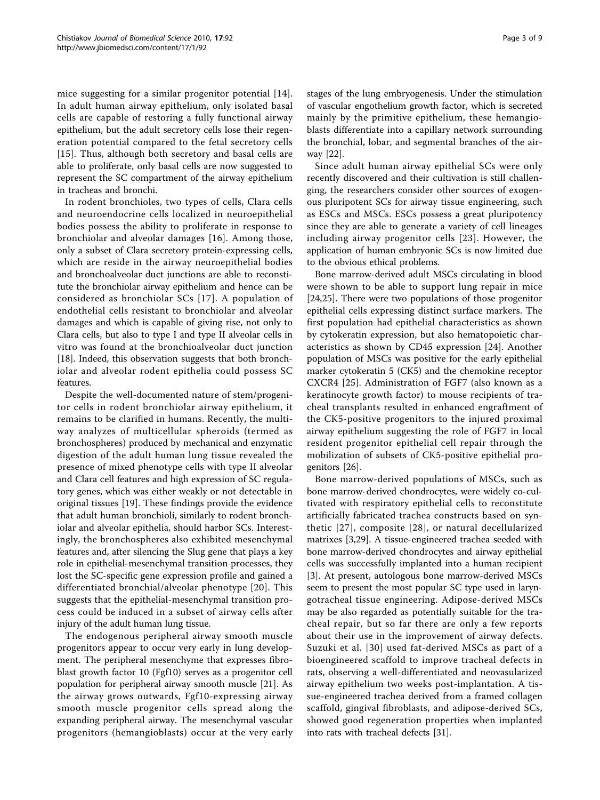mice suggesting for a similar progenitor potential [[14](#page-7-0)]. In adult human airway epithelium, only isolated basal cells are capable of restoring a fully functional airway epithelium, but the adult secretory cells lose their regeneration potential compared to the fetal secretory cells [[15](#page-7-0)]. Thus, although both secretory and basal cells are able to proliferate, only basal cells are now suggested to represent the SC compartment of the airway epithelium in tracheas and bronchi.

In rodent bronchioles, two types of cells, Clara cells and neuroendocrine cells localized in neuroepithelial bodies possess the ability to proliferate in response to bronchiolar and alveolar damages [[16\]](#page-7-0). Among those, only a subset of Clara secretory protein-expressing cells, which are reside in the airway neuroepithelial bodies and bronchoalveolar duct junctions are able to reconstitute the bronchiolar airway epithelium and hence can be considered as bronchiolar SCs [[17](#page-7-0)]. A population of endothelial cells resistant to bronchiolar and alveolar damages and which is capable of giving rise, not only to Clara cells, but also to type I and type II alveolar cells in vitro was found at the bronchioalveolar duct junction [[18\]](#page-7-0). Indeed, this observation suggests that both bronchiolar and alveolar rodent epithelia could possess SC features.

Despite the well-documented nature of stem/progenitor cells in rodent bronchiolar airway epithelium, it remains to be clarified in humans. Recently, the multiway analyzes of multicellular spheroids (termed as bronchospheres) produced by mechanical and enzymatic digestion of the adult human lung tissue revealed the presence of mixed phenotype cells with type II alveolar and Clara cell features and high expression of SC regulatory genes, which was either weakly or not detectable in original tissues [[19\]](#page-7-0). These findings provide the evidence that adult human bronchioli, similarly to rodent bronchiolar and alveolar epithelia, should harbor SCs. Interestingly, the bronchospheres also exhibited mesenchymal features and, after silencing the Slug gene that plays a key role in epithelial-mesenchymal transition processes, they lost the SC-specific gene expression profile and gained a differentiated bronchial/alveolar phenotype [[20](#page-7-0)]. This suggests that the epithelial-mesenchymal transition process could be induced in a subset of airway cells after injury of the adult human lung tissue.

The endogenous peripheral airway smooth muscle progenitors appear to occur very early in lung development. The peripheral mesenchyme that expresses fibroblast growth factor 10 (Fgf10) serves as a progenitor cell population for peripheral airway smooth muscle [[21](#page-7-0)]. As the airway grows outwards, Fgf10-expressing airway smooth muscle progenitor cells spread along the expanding peripheral airway. The mesenchymal vascular progenitors (hemangioblasts) occur at the very early stages of the lung embryogenesis. Under the stimulation of vascular engothelium growth factor, which is secreted mainly by the primitive epithelium, these hemangioblasts differentiate into a capillary network surrounding the bronchial, lobar, and segmental branches of the airway [[22](#page-7-0)].

Since adult human airway epithelial SCs were only recently discovered and their cultivation is still challenging, the researchers consider other sources of exogenous pluripotent SCs for airway tissue engineering, such as ESCs and MSCs. ESCs possess a great pluripotency since they are able to generate a variety of cell lineages including airway progenitor cells [[23\]](#page-7-0). However, the application of human embryonic SCs is now limited due to the obvious ethical problems.

Bone marrow-derived adult MSCs circulating in blood were shown to be able to support lung repair in mice [[24,25\]](#page-7-0). There were two populations of those progenitor epithelial cells expressing distinct surface markers. The first population had epithelial characteristics as shown by cytokeratin expression, but also hematopoietic characteristics as shown by CD45 expression [[24\]](#page-7-0). Another population of MSCs was positive for the early epithelial marker cytokeratin 5 (CK5) and the chemokine receptor CXCR4 [[25](#page-7-0)]. Administration of FGF7 (also known as a keratinocyte growth factor) to mouse recipients of tracheal transplants resulted in enhanced engraftment of the CK5-positive progenitors to the injured proximal airway epithelium suggesting the role of FGF7 in local resident progenitor epithelial cell repair through the mobilization of subsets of CK5-positive epithelial progenitors [[26\]](#page-7-0).

Bone marrow-derived populations of MSCs, such as bone marrow-derived chondrocytes, were widely co-cultivated with respiratory epithelial cells to reconstitute artificially fabricated trachea constructs based on synthetic [[27\]](#page-7-0), composite [[28](#page-7-0)], or natural decellularized matrixes [\[3](#page-6-0)[,29](#page-7-0)]. A tissue-engineered trachea seeded with bone marrow-derived chondrocytes and airway epithelial cells was successfully implanted into a human recipient [[3\]](#page-6-0). At present, autologous bone marrow-derived MSCs seem to present the most popular SC type used in laryngotracheal tissue engineering. Adipose-derived MSCs may be also regarded as potentially suitable for the tracheal repair, but so far there are only a few reports about their use in the improvement of airway defects. Suzuki et al. [[30](#page-7-0)] used fat-derived MSCs as part of a bioengineered scaffold to improve tracheal defects in rats, observing a well-differentiated and neovasularized airway epithelium two weeks post-implantation. A tissue-engineered trachea derived from a framed collagen scaffold, gingival fibroblasts, and adipose-derived SCs, showed good regeneration properties when implanted into rats with tracheal defects [\[31](#page-7-0)].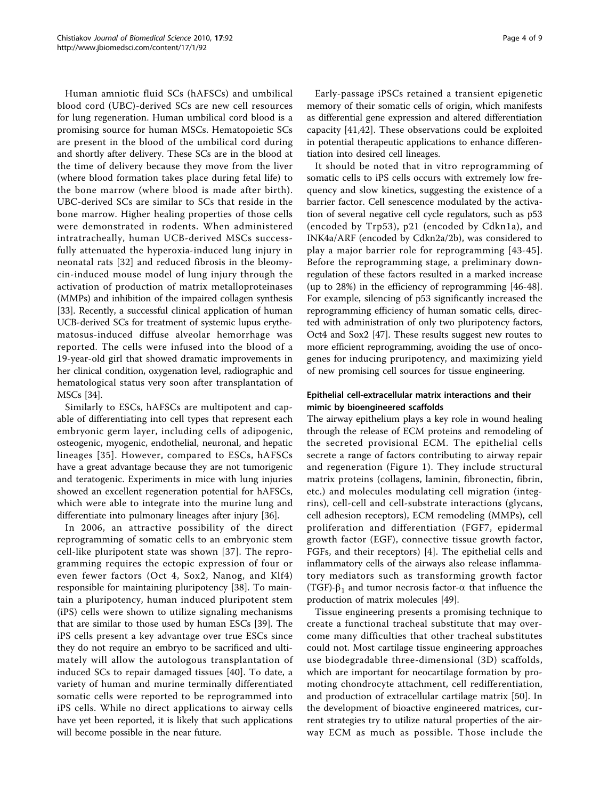Human amniotic fluid SCs (hAFSCs) and umbilical blood cord (UBC)-derived SCs are new cell resources for lung regeneration. Human umbilical cord blood is a promising source for human MSCs. Hematopoietic SCs are present in the blood of the umbilical cord during and shortly after delivery. These SCs are in the blood at the time of delivery because they move from the liver (where blood formation takes place during fetal life) to the bone marrow (where blood is made after birth). UBC-derived SCs are similar to SCs that reside in the bone marrow. Higher healing properties of those cells were demonstrated in rodents. When administered intratracheally, human UCB-derived MSCs successfully attenuated the hyperoxia-induced lung injury in neonatal rats [\[32](#page-7-0)] and reduced fibrosis in the bleomycin-induced mouse model of lung injury through the activation of production of matrix metalloproteinases (MMPs) and inhibition of the impaired collagen synthesis [[33\]](#page-7-0). Recently, a successful clinical application of human UCB-derived SCs for treatment of systemic lupus erythematosus-induced diffuse alveolar hemorrhage was reported. The cells were infused into the blood of a 19-year-old girl that showed dramatic improvements in her clinical condition, oxygenation level, radiographic and hematological status very soon after transplantation of MSCs [\[34\]](#page-7-0).

Similarly to ESCs, hAFSCs are multipotent and capable of differentiating into cell types that represent each embryonic germ layer, including cells of adipogenic, osteogenic, myogenic, endothelial, neuronal, and hepatic lineages [[35](#page-7-0)]. However, compared to ESCs, hAFSCs have a great advantage because they are not tumorigenic and teratogenic. Experiments in mice with lung injuries showed an excellent regeneration potential for hAFSCs, which were able to integrate into the murine lung and differentiate into pulmonary lineages after injury [\[36](#page-7-0)].

In 2006, an attractive possibility of the direct reprogramming of somatic cells to an embryonic stem cell-like pluripotent state was shown [[37\]](#page-7-0). The reprogramming requires the ectopic expression of four or even fewer factors (Oct 4, Sox2, Nanog, and Klf4) responsible for maintaining pluripotency [[38](#page-7-0)]. To maintain a pluripotency, human induced pluripotent stem (iPS) cells were shown to utilize signaling mechanisms that are similar to those used by human ESCs [[39](#page-7-0)]. The iPS cells present a key advantage over true ESCs since they do not require an embryo to be sacrificed and ultimately will allow the autologous transplantation of induced SCs to repair damaged tissues [\[40](#page-7-0)]. To date, a variety of human and murine terminally differentiated somatic cells were reported to be reprogrammed into iPS cells. While no direct applications to airway cells have yet been reported, it is likely that such applications will become possible in the near future.

Early-passage iPSCs retained a transient epigenetic memory of their somatic cells of origin, which manifests as differential gene expression and altered differentiation capacity [\[41](#page-7-0),[42\]](#page-7-0). These observations could be exploited in potential therapeutic applications to enhance differentiation into desired cell lineages.

It should be noted that in vitro reprogramming of somatic cells to iPS cells occurs with extremely low frequency and slow kinetics, suggesting the existence of a barrier factor. Cell senescence modulated by the activation of several negative cell cycle regulators, such as p53 (encoded by Trp53), p21 (encoded by Cdkn1a), and INK4a/ARF (encoded by Cdkn2a/2b), was considered to play a major barrier role for reprogramming [[43-45\]](#page-7-0). Before the reprogramming stage, a preliminary downregulation of these factors resulted in a marked increase (up to 28%) in the efficiency of reprogramming [[46-48](#page-7-0)]. For example, silencing of p53 significantly increased the reprogramming efficiency of human somatic cells, directed with administration of only two pluripotency factors, Oct4 and Sox2 [[47](#page-7-0)]. These results suggest new routes to more efficient reprogramming, avoiding the use of oncogenes for inducing pruripotency, and maximizing yield of new promising cell sources for tissue engineering.

## Epithelial cell-extracellular matrix interactions and their mimic by bioengineered scaffolds

The airway epithelium plays a key role in wound healing through the release of ECM proteins and remodeling of the secreted provisional ECM. The epithelial cells secrete a range of factors contributing to airway repair and regeneration (Figure [1](#page-4-0)). They include structural matrix proteins (collagens, laminin, fibronectin, fibrin, etc.) and molecules modulating cell migration (integrins), cell-cell and cell-substrate interactions (glycans, cell adhesion receptors), ECM remodeling (MMPs), cell proliferation and differentiation (FGF7, epidermal growth factor (EGF), connective tissue growth factor, FGFs, and their receptors) [\[4\]](#page-6-0). The epithelial cells and inflammatory cells of the airways also release inflammatory mediators such as transforming growth factor (TGF)- $\beta_1$  and tumor necrosis factor- $\alpha$  that influence the production of matrix molecules [[49\]](#page-7-0).

Tissue engineering presents a promising technique to create a functional tracheal substitute that may overcome many difficulties that other tracheal substitutes could not. Most cartilage tissue engineering approaches use biodegradable three-dimensional (3D) scaffolds, which are important for neocartilage formation by promoting chondrocyte attachment, cell redifferentiation, and production of extracellular cartilage matrix [[50\]](#page-8-0). In the development of bioactive engineered matrices, current strategies try to utilize natural properties of the airway ECM as much as possible. Those include the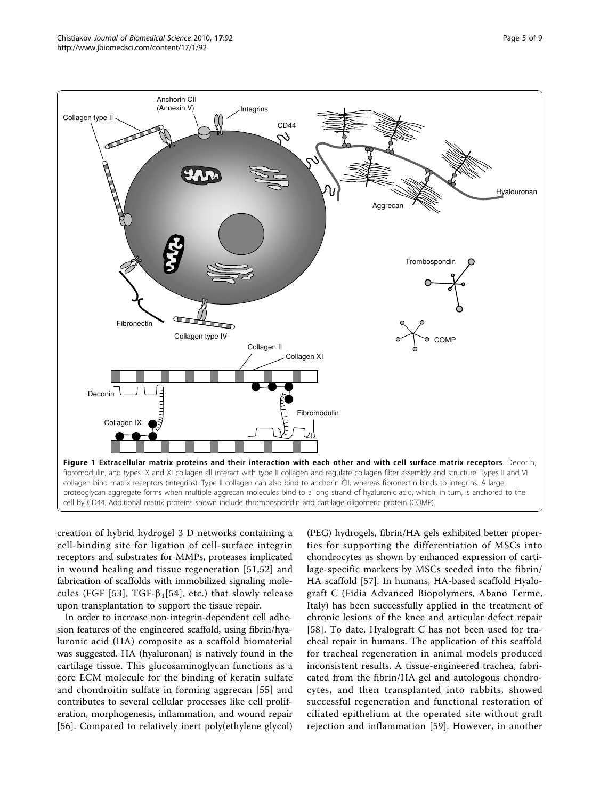<span id="page-4-0"></span>

creation of hybrid hydrogel 3 D networks containing a cell-binding site for ligation of cell-surface integrin receptors and substrates for MMPs, proteases implicated in wound healing and tissue regeneration [[51](#page-8-0),[52](#page-8-0)] and fabrication of scaffolds with immobilized signaling mole-cules (FGF [[53](#page-8-0)], TGF- $\beta_1$ [[54\]](#page-8-0), etc.) that slowly release upon transplantation to support the tissue repair.

In order to increase non-integrin-dependent cell adhesion features of the engineered scaffold, using fibrin/hyaluronic acid (HA) composite as a scaffold biomaterial was suggested. HA (hyaluronan) is natively found in the cartilage tissue. This glucosaminoglycan functions as a core ECM molecule for the binding of keratin sulfate and chondroitin sulfate in forming aggrecan [[55](#page-8-0)] and contributes to several cellular processes like cell proliferation, morphogenesis, inflammation, and wound repair [[56](#page-8-0)]. Compared to relatively inert poly(ethylene glycol)

(PEG) hydrogels, fibrin/HA gels exhibited better properties for supporting the differentiation of MSCs into chondrocytes as shown by enhanced expression of cartilage-specific markers by MSCs seeded into the fibrin/ HA scaffold [\[57](#page-8-0)]. In humans, HA-based scaffold Hyalograft C (Fidia Advanced Biopolymers, Abano Terme, Italy) has been successfully applied in the treatment of chronic lesions of the knee and articular defect repair [[58](#page-8-0)]. To date, Hyalograft C has not been used for tracheal repair in humans. The application of this scaffold for tracheal regeneration in animal models produced inconsistent results. A tissue-engineered trachea, fabricated from the fibrin/HA gel and autologous chondrocytes, and then transplanted into rabbits, showed successful regeneration and functional restoration of ciliated epithelium at the operated site without graft rejection and inflammation [[59](#page-8-0)]. However, in another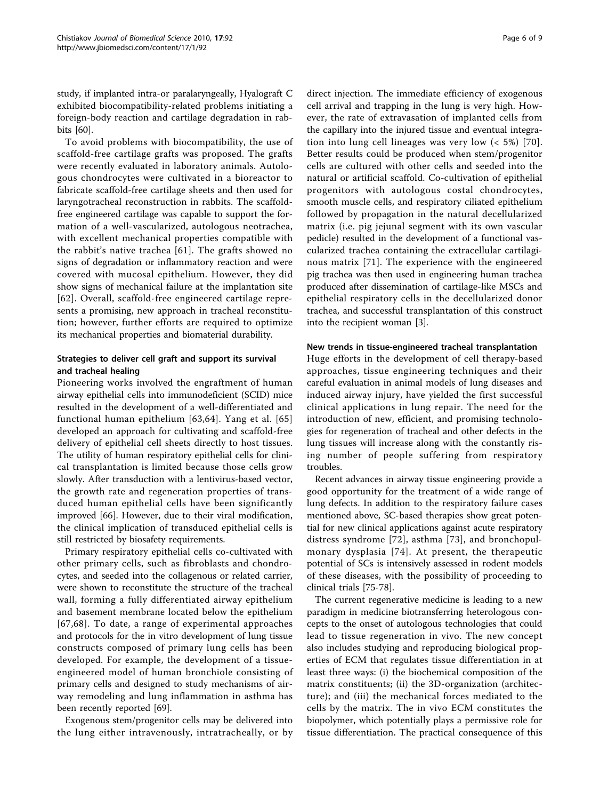study, if implanted intra-or paralaryngeally, Hyalograft C exhibited biocompatibility-related problems initiating a foreign-body reaction and cartilage degradation in rabbits [[60](#page-8-0)].

To avoid problems with biocompatibility, the use of scaffold-free cartilage grafts was proposed. The grafts were recently evaluated in laboratory animals. Autologous chondrocytes were cultivated in a bioreactor to fabricate scaffold-free cartilage sheets and then used for laryngotracheal reconstruction in rabbits. The scaffoldfree engineered cartilage was capable to support the formation of a well-vascularized, autologous neotrachea, with excellent mechanical properties compatible with the rabbit's native trachea [[61\]](#page-8-0). The grafts showed no signs of degradation or inflammatory reaction and were covered with mucosal epithelium. However, they did show signs of mechanical failure at the implantation site [[62](#page-8-0)]. Overall, scaffold-free engineered cartilage represents a promising, new approach in tracheal reconstitution; however, further efforts are required to optimize its mechanical properties and biomaterial durability.

## Strategies to deliver cell graft and support its survival and tracheal healing

Pioneering works involved the engraftment of human airway epithelial cells into immunodeficient (SCID) mice resulted in the development of a well-differentiated and functional human epithelium [[63](#page-8-0),[64\]](#page-8-0). Yang et al. [[65](#page-8-0)] developed an approach for cultivating and scaffold-free delivery of epithelial cell sheets directly to host tissues. The utility of human respiratory epithelial cells for clinical transplantation is limited because those cells grow slowly. After transduction with a lentivirus-based vector, the growth rate and regeneration properties of transduced human epithelial cells have been significantly improved [\[66](#page-8-0)]. However, due to their viral modification, the clinical implication of transduced epithelial cells is still restricted by biosafety requirements.

Primary respiratory epithelial cells co-cultivated with other primary cells, such as fibroblasts and chondrocytes, and seeded into the collagenous or related carrier, were shown to reconstitute the structure of the tracheal wall, forming a fully differentiated airway epithelium and basement membrane located below the epithelium [[67,68](#page-8-0)]. To date, a range of experimental approaches and protocols for the in vitro development of lung tissue constructs composed of primary lung cells has been developed. For example, the development of a tissueengineered model of human bronchiole consisting of primary cells and designed to study mechanisms of airway remodeling and lung inflammation in asthma has been recently reported [[69](#page-8-0)].

Exogenous stem/progenitor cells may be delivered into the lung either intravenously, intratracheally, or by direct injection. The immediate efficiency of exogenous cell arrival and trapping in the lung is very high. However, the rate of extravasation of implanted cells from the capillary into the injured tissue and eventual integration into lung cell lineages was very low (< 5%) [[70\]](#page-8-0). Better results could be produced when stem/progenitor cells are cultured with other cells and seeded into the natural or artificial scaffold. Co-cultivation of epithelial progenitors with autologous costal chondrocytes, smooth muscle cells, and respiratory ciliated epithelium followed by propagation in the natural decellularized matrix (i.e. pig jejunal segment with its own vascular pedicle) resulted in the development of a functional vascularized trachea containing the extracellular cartilaginous matrix [[71\]](#page-8-0). The experience with the engineered pig trachea was then used in engineering human trachea produced after dissemination of cartilage-like MSCs and epithelial respiratory cells in the decellularized donor trachea, and successful transplantation of this construct into the recipient woman [\[3](#page-6-0)].

## New trends in tissue-engineered tracheal transplantation

Huge efforts in the development of cell therapy-based approaches, tissue engineering techniques and their careful evaluation in animal models of lung diseases and induced airway injury, have yielded the first successful clinical applications in lung repair. The need for the introduction of new, efficient, and promising technologies for regeneration of tracheal and other defects in the lung tissues will increase along with the constantly rising number of people suffering from respiratory troubles.

Recent advances in airway tissue engineering provide a good opportunity for the treatment of a wide range of lung defects. In addition to the respiratory failure cases mentioned above, SC-based therapies show great potential for new clinical applications against acute respiratory distress syndrome [\[72\]](#page-8-0), asthma [[73\]](#page-8-0), and bronchopulmonary dysplasia [[74\]](#page-8-0). At present, the therapeutic potential of SCs is intensively assessed in rodent models of these diseases, with the possibility of proceeding to clinical trials [\[75-78](#page-8-0)].

The current regenerative medicine is leading to a new paradigm in medicine biotransferring heterologous concepts to the onset of autologous technologies that could lead to tissue regeneration in vivo. The new concept also includes studying and reproducing biological properties of ECM that regulates tissue differentiation in at least three ways: (i) the biochemical composition of the matrix constituents; (ii) the 3D-organization (architecture); and (iii) the mechanical forces mediated to the cells by the matrix. The in vivo ECM constitutes the biopolymer, which potentially plays a permissive role for tissue differentiation. The practical consequence of this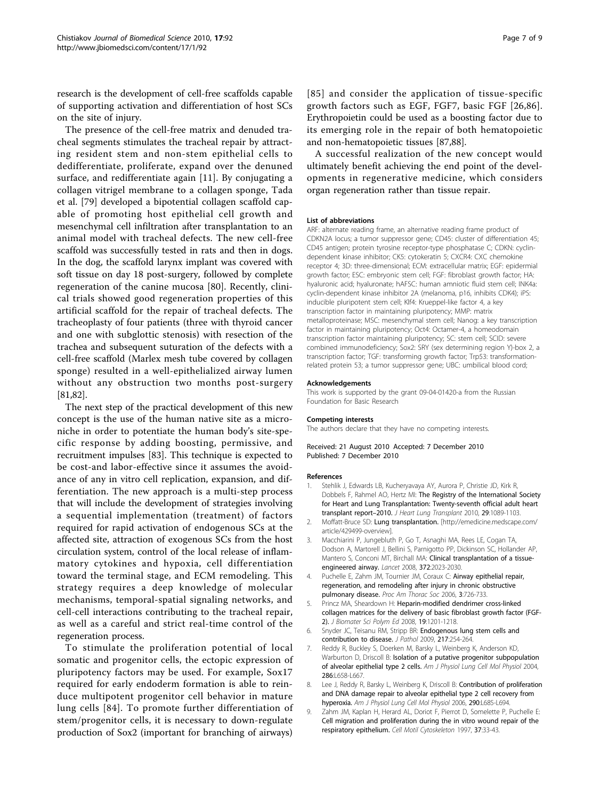<span id="page-6-0"></span>research is the development of cell-free scaffolds capable of supporting activation and differentiation of host SCs on the site of injury.

The presence of the cell-free matrix and denuded tracheal segments stimulates the tracheal repair by attracting resident stem and non-stem epithelial cells to dedifferentiate, proliferate, expand over the denuned surface, and redifferentiate again [\[11](#page-7-0)]. By conjugating a collagen vitrigel membrane to a collagen sponge, Tada et al. [[79\]](#page-8-0) developed a bipotential collagen scaffold capable of promoting host epithelial cell growth and mesenchymal cell infiltration after transplantation to an animal model with tracheal defects. The new cell-free scaffold was successfully tested in rats and then in dogs. In the dog, the scaffold larynx implant was covered with soft tissue on day 18 post-surgery, followed by complete regeneration of the canine mucosa [\[80](#page-8-0)]. Recently, clinical trials showed good regeneration properties of this artificial scaffold for the repair of tracheal defects. The tracheoplasty of four patients (three with thyroid cancer and one with subglottic stenosis) with resection of the trachea and subsequent suturation of the defects with a cell-free scaffold (Marlex mesh tube covered by collagen sponge) resulted in a well-epithelialized airway lumen without any obstruction two months post-surgery [[81,82\]](#page-8-0).

The next step of the practical development of this new concept is the use of the human native site as a microniche in order to potentiate the human body's site-specific response by adding boosting, permissive, and recruitment impulses [\[83](#page-8-0)]. This technique is expected to be cost-and labor-effective since it assumes the avoidance of any in vitro cell replication, expansion, and differentiation. The new approach is a multi-step process that will include the development of strategies involving a sequential implementation (treatment) of factors required for rapid activation of endogenous SCs at the affected site, attraction of exogenous SCs from the host circulation system, control of the local release of inflammatory cytokines and hypoxia, cell differentiation toward the terminal stage, and ECM remodeling. This strategy requires a deep knowledge of molecular mechanisms, temporal-spatial signaling networks, and cell-cell interactions contributing to the tracheal repair, as well as a careful and strict real-time control of the regeneration process.

To stimulate the proliferation potential of local somatic and progenitor cells, the ectopic expression of pluripotency factors may be used. For example, Sox17 required for early endoderm formation is able to reinduce multipotent progenitor cell behavior in mature lung cells [[84](#page-8-0)]. To promote further differentiation of stem/progenitor cells, it is necessary to down-regulate production of Sox2 (important for branching of airways)

[[85](#page-8-0)] and consider the application of tissue-specific growth factors such as EGF, FGF7, basic FGF [[26](#page-7-0),[86](#page-8-0)]. Erythropoietin could be used as a boosting factor due to its emerging role in the repair of both hematopoietic and non-hematopoietic tissues [\[87,88\]](#page-8-0).

A successful realization of the new concept would ultimately benefit achieving the end point of the developments in regenerative medicine, which considers organ regeneration rather than tissue repair.

#### List of abbreviations

ARF: alternate reading frame, an alternative reading frame product of CDKN2A locus; a tumor suppressor gene; CD45: cluster of differentiation 45; CD45 antigen; protein tyrosine receptor-type phosphatase C; CDKN: cyclindependent kinase inhibitor; CK5: cytokeratin 5; CXCR4: CXC chemokine receptor 4; 3D: three-dimensional; ECM: extracellular matrix; EGF: epidermial growth factor; ESC: embryonic stem cell; FGF: fibroblast growth factor; HA: hyaluronic acid; hyaluronate; hAFSC: human amniotic fluid stem cell; INK4a: cyclin-dependent kinase inhibitor 2A (melanoma, p16, inhibits CDK4); iPS: inducible pluripotent stem cell; Klf4: Krueppel-like factor 4, a key transcription factor in maintaining pluripotency; MMP: matrix metalloproteinase; MSC: mesenchymal stem cell; Nanog: a key transcription factor in maintaining pluripotency; Oct4: Octamer-4, a homeodomain transcription factor maintaining pluripotency; SC: stem cell; SCID: severe combined immunodeficiency; Sox2: SRY (sex determining region Y)-box 2, a transcription factor; TGF: transforming growth factor; Trp53: transformationrelated protein 53; a tumor suppressor gene; UBC: umbilical blood cord;

#### Acknowledgements

This work is supported by the grant 09-04-01420-a from the Russian Foundation for Basic Research

#### Competing interests

The authors declare that they have no competing interests.

Received: 21 August 2010 Accepted: 7 December 2010 Published: 7 December 2010

### References

- Stehlik J, Edwards LB, Kucheryavaya AY, Aurora P, Christie JD, Kirk R, Dobbels F, Rahmel AO, Hertz MI: [The Registry of the International Society](http://www.ncbi.nlm.nih.gov/pubmed/20870164?dopt=Abstract) [for Heart and Lung Transplantation: Twenty-seventh official adult heart](http://www.ncbi.nlm.nih.gov/pubmed/20870164?dopt=Abstract) [transplant report](http://www.ncbi.nlm.nih.gov/pubmed/20870164?dopt=Abstract)–2010. J Heart Lung Transplant 2010, 29:1089-1103.
- 2. Moffatt-Bruce SD: Lung transplantation. [[http://emedicine.medscape.com/](http://emedicine.medscape.com/article/429499-overview) [article/429499-overview\]](http://emedicine.medscape.com/article/429499-overview).
- 3. Macchiarini P, Jungebluth P, Go T, Asnaghi MA, Rees LE, Cogan TA, Dodson A, Martorell J, Bellini S, Parnigotto PP, Dickinson SC, Hollander AP, Mantero S, Conconi MT, Birchall MA: [Clinical transplantation of a tissue](http://www.ncbi.nlm.nih.gov/pubmed/19022496?dopt=Abstract)[engineered airway.](http://www.ncbi.nlm.nih.gov/pubmed/19022496?dopt=Abstract) Lancet 2008, 372:2023-2030.
- 4. Puchelle E, Zahm JM, Tournier JM, Coraux C: [Airway epithelial repair,](http://www.ncbi.nlm.nih.gov/pubmed/17065381?dopt=Abstract) [regeneration, and remodeling after injury in chronic obstructive](http://www.ncbi.nlm.nih.gov/pubmed/17065381?dopt=Abstract) [pulmonary disease.](http://www.ncbi.nlm.nih.gov/pubmed/17065381?dopt=Abstract) Proc Am Thorac Soc 2006, 3:726-733.
- 5. Princz MA, Sheardown H: [Heparin-modified dendrimer cross-linked](http://www.ncbi.nlm.nih.gov/pubmed/18727861?dopt=Abstract) [collagen matrices for the delivery of basic fibroblast growth factor \(FGF-](http://www.ncbi.nlm.nih.gov/pubmed/18727861?dopt=Abstract)[2\).](http://www.ncbi.nlm.nih.gov/pubmed/18727861?dopt=Abstract) J Biomater Sci Polym Ed 2008, 19:1201-1218.
- 6. Snyder JC, Teisanu RM, Stripp BR: [Endogenous lung stem cells and](http://www.ncbi.nlm.nih.gov/pubmed/19039828?dopt=Abstract) [contribution to disease.](http://www.ncbi.nlm.nih.gov/pubmed/19039828?dopt=Abstract) J Pathol 2009, 217:254-264.
- 7. Reddy R, Buckley S, Doerken M, Barsky L, Weinberg K, Anderson KD, Warburton D, Driscoll B: [Isolation of a putative progenitor subpopulation](http://www.ncbi.nlm.nih.gov/pubmed/12922980?dopt=Abstract) [of alveolar epithelial type 2 cells.](http://www.ncbi.nlm.nih.gov/pubmed/12922980?dopt=Abstract) Am J Physiol Lung Cell Mol Physiol 2004, 286:L658-L667.
- 8. Lee J, Reddy R, Barsky L, Weinberg K, Driscoll B: [Contribution of proliferation](http://www.ncbi.nlm.nih.gov/pubmed/16299057?dopt=Abstract) [and DNA damage repair to alveolar epithelial type 2 cell recovery from](http://www.ncbi.nlm.nih.gov/pubmed/16299057?dopt=Abstract) [hyperoxia.](http://www.ncbi.nlm.nih.gov/pubmed/16299057?dopt=Abstract) Am J Physiol Lung Cell Mol Physiol 2006, 290:L685-L694.
- 9. Zahm JM, Kaplan H, Herard AL, Doriot F, Pierrot D, Somelette P, Puchelle E: [Cell migration and proliferation during the in vitro wound repair of the](http://www.ncbi.nlm.nih.gov/pubmed/9142437?dopt=Abstract) [respiratory epithelium.](http://www.ncbi.nlm.nih.gov/pubmed/9142437?dopt=Abstract) Cell Motil Cytoskeleton 1997, 37:33-43.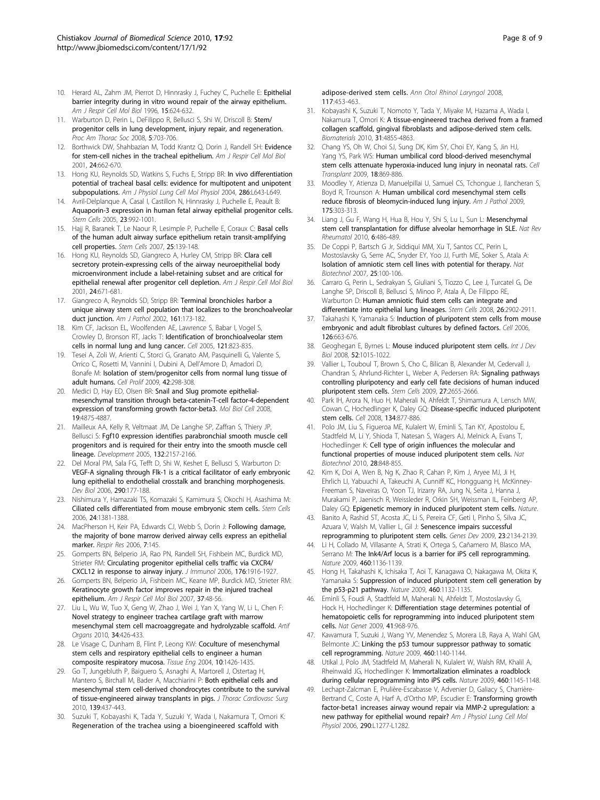- <span id="page-7-0"></span>10. Herard AL, Zahm JM, Pierrot D, Hinnrasky J, Fuchey C, Puchelle E: [Epithelial](http://www.ncbi.nlm.nih.gov/pubmed/8918369?dopt=Abstract) [barrier integrity during in vitro wound repair of the airway epithelium.](http://www.ncbi.nlm.nih.gov/pubmed/8918369?dopt=Abstract) Am J Respir Cell Mol Biol 1996, 15:624-632.
- 11. Warburton D, Perin L, DeFilippo R, Bellusci S, Shi W, Driscoll B: [Stem/](http://www.ncbi.nlm.nih.gov/pubmed/18684721?dopt=Abstract) [progenitor cells in lung development, injury repair, and regeneration.](http://www.ncbi.nlm.nih.gov/pubmed/18684721?dopt=Abstract) Proc Am Thorac Soc 2008, 5:703-706.
- 12. Borthwick DW, Shahbazian M, Todd Krantz Q, Dorin J, Randell SH: [Evidence](http://www.ncbi.nlm.nih.gov/pubmed/11415930?dopt=Abstract) [for stem-cell niches in the tracheal epithelium.](http://www.ncbi.nlm.nih.gov/pubmed/11415930?dopt=Abstract) Am J Respir Cell Mol Biol 2001, 24:662-670.
- 13. Hong KU, Reynolds SD, Watkins S, Fuchs E, Stripp BR: [In vivo differentiation](http://www.ncbi.nlm.nih.gov/pubmed/12871857?dopt=Abstract) [potential of tracheal basal cells: evidence for multipotent and unipotent](http://www.ncbi.nlm.nih.gov/pubmed/12871857?dopt=Abstract) [subpopulations.](http://www.ncbi.nlm.nih.gov/pubmed/12871857?dopt=Abstract) Am J Physiol Lung Cell Mol Physiol 2004, 286:L643-L649.
- 14. Avril-Delplanque A, Casal I, Castillon N, Hinnrasky J, Puchelle E, Peault B: [Aquaporin-3 expression in human fetal airway epithelial progenitor cells.](http://www.ncbi.nlm.nih.gov/pubmed/16043462?dopt=Abstract) Stem Cells 2005, 23:992-1001.
- 15. Hajj R, Baranek T, Le Naour R, Lesimple P, Puchelle E, Coraux C: [Basal cells](http://www.ncbi.nlm.nih.gov/pubmed/17008423?dopt=Abstract) [of the human adult airway surface epithelium retain transit-amplifying](http://www.ncbi.nlm.nih.gov/pubmed/17008423?dopt=Abstract) [cell properties.](http://www.ncbi.nlm.nih.gov/pubmed/17008423?dopt=Abstract) Stem Cells 2007, 25:139-148.
- 16. Hong KU, Reynolds SD, Giangreco A, Hurley CM, Stripp BR: [Clara cell](http://www.ncbi.nlm.nih.gov/pubmed/11415931?dopt=Abstract) [secretory protein-expressing cells of the airway neuroepithelial body](http://www.ncbi.nlm.nih.gov/pubmed/11415931?dopt=Abstract) [microenvironment include a label-retaining subset and are critical for](http://www.ncbi.nlm.nih.gov/pubmed/11415931?dopt=Abstract) [epithelial renewal after progenitor cell depletion.](http://www.ncbi.nlm.nih.gov/pubmed/11415931?dopt=Abstract) Am J Respir Cell Mol Biol 2001, 24:671-681.
- 17. Giangreco A, Reynolds SD, Stripp BR: [Terminal bronchioles harbor a](http://www.ncbi.nlm.nih.gov/pubmed/12107102?dopt=Abstract) [unique airway stem cell population that localizes to the bronchoalveolar](http://www.ncbi.nlm.nih.gov/pubmed/12107102?dopt=Abstract) [duct junction.](http://www.ncbi.nlm.nih.gov/pubmed/12107102?dopt=Abstract) Am J Pathol 2002, 161:173-182.
- 18. Kim CF, Jackson EL, Woolfenden AE, Lawrence S, Babar I, Vogel S, Crowley D, Bronson RT, Jacks T: [Identification of bronchioalveolar stem](http://www.ncbi.nlm.nih.gov/pubmed/15960971?dopt=Abstract) [cells in normal lung and lung cancer.](http://www.ncbi.nlm.nih.gov/pubmed/15960971?dopt=Abstract) Cell 2005, 121:823-835.
- 19. Tesei A, Zoli W, Arienti C, Storci G, Granato AM, Pasquinelli G, Valente S, Orrico C, Rosetti M, Vannini I, Dubini A, Dell'Amore D, Amadori D, Bonafe M: [Isolation of stem/progenitor cells from normal lung tissue of](http://www.ncbi.nlm.nih.gov/pubmed/19438897?dopt=Abstract) [adult humans.](http://www.ncbi.nlm.nih.gov/pubmed/19438897?dopt=Abstract) Cell Prolif 2009, 42:298-308.
- 20. Medici D, Hay ED, Olsen BR: [Snail and Slug promote epithelial](http://www.ncbi.nlm.nih.gov/pubmed/18799618?dopt=Abstract)[mesenchymal transition through beta-catenin-T-cell factor-4-dependent](http://www.ncbi.nlm.nih.gov/pubmed/18799618?dopt=Abstract) [expression of transforming growth factor-beta3.](http://www.ncbi.nlm.nih.gov/pubmed/18799618?dopt=Abstract) Mol Biol Cell 2008, 19:4875-4887.
- 21. Mailleux AA, Kelly R, Veltmaat JM, De Langhe SP, Zaffran S, Thiery JP, Bellusci S: [Fgf10 expression identifies parabronchial smooth muscle cell](http://www.ncbi.nlm.nih.gov/pubmed/15800000?dopt=Abstract) [progenitors and is required for their entry into the smooth muscle cell](http://www.ncbi.nlm.nih.gov/pubmed/15800000?dopt=Abstract) [lineage.](http://www.ncbi.nlm.nih.gov/pubmed/15800000?dopt=Abstract) Development 2005, 132:2157-2166.
- 22. Del Moral PM, Sala FG, Tefft D, Shi W, Keshet E, Bellusci S, Warburton D: [VEGF-A signaling through Flk-1 is a critical facilitator of early embryonic](http://www.ncbi.nlm.nih.gov/pubmed/16375885?dopt=Abstract) [lung epithelial to endothelial crosstalk and branching morphogenesis.](http://www.ncbi.nlm.nih.gov/pubmed/16375885?dopt=Abstract) Dev Biol 2006, 290:177-188.
- 23. Nishimura Y, Hamazaki TS, Komazaki S, Kamimura S, Okochi H, Asashima M: [Ciliated cells differentiated from mouse embryonic stem cells.](http://www.ncbi.nlm.nih.gov/pubmed/16410384?dopt=Abstract) Stem Cells 2006, 24:1381-1388.
- 24. MacPherson H, Keir PA, Edwards CJ, Webb S, Dorin J: [Following damage,](http://www.ncbi.nlm.nih.gov/pubmed/17177981?dopt=Abstract) [the majority of bone marrow derived airway cells express an epithelial](http://www.ncbi.nlm.nih.gov/pubmed/17177981?dopt=Abstract) [marker.](http://www.ncbi.nlm.nih.gov/pubmed/17177981?dopt=Abstract) Respir Res 2006, 7:145.
- 25. Gomperts BN, Belperio JA, Rao PN, Randell SH, Fishbein MC, Burdick MD, Strieter RM: [Circulating progenitor epithelial cells traffic via CXCR4/](http://www.ncbi.nlm.nih.gov/pubmed/16424223?dopt=Abstract) [CXCL12 in response to airway injury.](http://www.ncbi.nlm.nih.gov/pubmed/16424223?dopt=Abstract) J Immunol 2006, 176:1916-1927.
- 26. Gomperts BN, Belperio JA, Fishbein MC, Keane MP, Burdick MD, Strieter RM: [Keratinocyte growth factor improves repair in the injured tracheal](http://www.ncbi.nlm.nih.gov/pubmed/17332441?dopt=Abstract) [epithelium.](http://www.ncbi.nlm.nih.gov/pubmed/17332441?dopt=Abstract) Am J Respir Cell Mol Biol 2007, 37:48-56.
- 27. Liu L, Wu W, Tuo X, Geng W, Zhao J, Wei J, Yan X, Yang W, Li L, Chen F: [Novel strategy to engineer trachea cartilage graft with marrow](http://www.ncbi.nlm.nih.gov/pubmed/20633157?dopt=Abstract) [mesenchymal stem cell macroaggregate and hydrolyzable scaffold.](http://www.ncbi.nlm.nih.gov/pubmed/20633157?dopt=Abstract) Artif Organs 2010, 34:426-433.
- 28. Le Visage C, Dunham B, Flint P, Leong KW: [Coculture of mesenchymal](http://www.ncbi.nlm.nih.gov/pubmed/15588402?dopt=Abstract) [stem cells and respiratory epithelial cells to engineer a human](http://www.ncbi.nlm.nih.gov/pubmed/15588402?dopt=Abstract) [composite respiratory mucosa.](http://www.ncbi.nlm.nih.gov/pubmed/15588402?dopt=Abstract) Tissue Eng 2004, 10:1426-1435.
- 29. Go T, Jungebluth P, Baiguero S, Asnaghi A, Martorell J, Ostertag H, Mantero S, Birchall M, Bader A, Macchiarini P: [Both epithelial cells and](http://www.ncbi.nlm.nih.gov/pubmed/19995663?dopt=Abstract) [mesenchymal stem cell-derived chondrocytes contribute to the survival](http://www.ncbi.nlm.nih.gov/pubmed/19995663?dopt=Abstract) [of tissue-engineered airway transplants in pigs.](http://www.ncbi.nlm.nih.gov/pubmed/19995663?dopt=Abstract) J Thorac Cardiovasc Surg 2010, 139:437-443.
- 30. Suzuki T, Kobayashi K, Tada Y, Suzuki Y, Wada I, Nakamura T, Omori K: [Regeneration of the trachea using a bioengineered scaffold with](http://www.ncbi.nlm.nih.gov/pubmed/18646443?dopt=Abstract)
- 31. Kobayashi K, Suzuki T, Nomoto Y, Tada Y, Miyake M, Hazama A, Wada I, Nakamura T, Omori K: [A tissue-engineered trachea derived from a framed](http://www.ncbi.nlm.nih.gov/pubmed/20347137?dopt=Abstract) [collagen scaffold, gingival fibroblasts and adipose-derived stem cells.](http://www.ncbi.nlm.nih.gov/pubmed/20347137?dopt=Abstract) Biomaterials 2010, 31:4855-4863.
- 32. Chang YS, Oh W, Choi SJ, Sung DK, Kim SY, Choi EY, Kang S, Jin HJ, Yang YS, Park WS: [Human umbilical cord blood-derived mesenchymal](http://www.ncbi.nlm.nih.gov/pubmed/19500472?dopt=Abstract) [stem cells attenuate hyperoxia-induced lung injury in neonatal rats.](http://www.ncbi.nlm.nih.gov/pubmed/19500472?dopt=Abstract) Cell Transplant 2009, 18:869-886.
- 33. Moodley Y, Atienza D, Manuelpillai U, Samuel CS, Tchongue J, Ilancheran S, Boyd R, Trounson A: [Human umbilical cord mesenchymal stem cells](http://www.ncbi.nlm.nih.gov/pubmed/19497992?dopt=Abstract) [reduce fibrosis of bleomycin-induced lung injury.](http://www.ncbi.nlm.nih.gov/pubmed/19497992?dopt=Abstract) Am J Pathol 2009, 175:303-313.
- 34. Liang J, Gu F, Wang H, Hua B, Hou Y, Shi S, Lu L, Sun L: [Mesenchymal](http://www.ncbi.nlm.nih.gov/pubmed/20517294?dopt=Abstract) [stem cell transplantation for diffuse alveolar hemorrhage in SLE.](http://www.ncbi.nlm.nih.gov/pubmed/20517294?dopt=Abstract) Nat Rev Rheumatol 2010, 6:486-489.
- 35. De Coppi P, Bartsch G Jr, Siddiqui MM, Xu T, Santos CC, Perin L, Mostoslavsky G, Serre AC, Snyder EY, Yoo JJ, Furth ME, Soker S, Atala A: [Isolation of amniotic stem cell lines with potential for therapy.](http://www.ncbi.nlm.nih.gov/pubmed/17206138?dopt=Abstract) Nat Biotechnol 2007, 25:100-106.
- 36. Carraro G, Perin L, Sedrakyan S, Giuliani S, Tiozzo C, Lee J, Turcatel G, De Langhe SP, Driscoll B, Bellusci S, Minoo P, Atala A, De Filippo RE, Warburton D: [Human amniotic fluid stem cells can integrate and](http://www.ncbi.nlm.nih.gov/pubmed/18719226?dopt=Abstract) [differentiate into epithelial lung lineages.](http://www.ncbi.nlm.nih.gov/pubmed/18719226?dopt=Abstract) Stem Cells 2008, 26:2902-2911.
- 37. Takahashi K, Yamanaka S: [Induction of pluripotent stem cells from mouse](http://www.ncbi.nlm.nih.gov/pubmed/16904174?dopt=Abstract) [embryonic and adult fibroblast cultures by defined factors.](http://www.ncbi.nlm.nih.gov/pubmed/16904174?dopt=Abstract) Cell 2006, 126:663-676.
- 38. Geoghegan E, Byrnes L: [Mouse induced pluripotent stem cells.](http://www.ncbi.nlm.nih.gov/pubmed/18956334?dopt=Abstract) Int J Dev Biol 2008, 52:1015-1022.
- 39. Vallier L, Touboul T, Brown S, Cho C, Bilican B, Alexander M, Cedervall J, Chandran S, Ahrlund-Richter L, Weber A, Pedersen RA: [Signaling pathways](http://www.ncbi.nlm.nih.gov/pubmed/19688839?dopt=Abstract) [controlling pluripotency and early cell fate decisions of human induced](http://www.ncbi.nlm.nih.gov/pubmed/19688839?dopt=Abstract) [pluripotent stem cells.](http://www.ncbi.nlm.nih.gov/pubmed/19688839?dopt=Abstract) Stem Cells 2009, 27:2655-2666.
- 40. Park IH, Arora N, Huo H, Maherali N, Ahfeldt T, Shimamura A, Lensch MW, Cowan C, Hochedlinger K, Daley GQ: [Disease-specific induced pluripotent](http://www.ncbi.nlm.nih.gov/pubmed/18691744?dopt=Abstract) [stem cells.](http://www.ncbi.nlm.nih.gov/pubmed/18691744?dopt=Abstract) Cell 2008, 134:877-886.
- 41. Polo JM, Liu S, Figueroa ME, Kulalert W, Eminli S, Tan KY, Apostolou E, Stadtfeld M, Li Y, Shioda T, Natesan S, Wagers AJ, Melnick A, Evans T, Hochedlinger K: [Cell type of origin influences the molecular and](http://www.ncbi.nlm.nih.gov/pubmed/20644536?dopt=Abstract) [functional properties of mouse induced pluripotent stem cells.](http://www.ncbi.nlm.nih.gov/pubmed/20644536?dopt=Abstract) Nat Biotechnol 2010, 28:848-855.
- 42. Kim K, Doi A, Wen B, Ng K, Zhao R, Cahan P, Kim J, Aryee MJ, Ji H, Ehrlich LI, Yabuuchi A, Takeuchi A, Cunniff KC, Hongguang H, McKinney-Freeman S, Naveiras O, Yoon TJ, Irizarry RA, Jung N, Seita J, Hanna J, Murakami P, Jaenisch R, Weissleder R, Orkin SH, Weissman IL, Feinberg AP, Daley GQ: Epigenetic memory in induced pluripotent stem cells. Nature.
- 43. Banito A, Rashid ST, Acosta JC, Li S, Pereira CF, Geti I, Pinho S, Silva JC, Azuara V, Walsh M, Vallier L, Gil J: [Senescence impairs successful](http://www.ncbi.nlm.nih.gov/pubmed/19696146?dopt=Abstract) [reprogramming to pluripotent stem cells.](http://www.ncbi.nlm.nih.gov/pubmed/19696146?dopt=Abstract) Genes Dev 2009, 23:2134-2139.
- 44. Li H, Collado M, Villasante A, Strati K, Ortega S, Cañamero M, Blasco MA, Serrano M: [The Ink4/Arf locus is a barrier for iPS cell reprogramming.](http://www.ncbi.nlm.nih.gov/pubmed/19668188?dopt=Abstract) Nature 2009, 460:1136-1139.
- 45. Hong H, Takahashi K, Ichisaka T, Aoi T, Kanagawa O, Nakagawa M, Okita K, Yamanaka S: [Suppression of induced pluripotent stem cell generation by](http://www.ncbi.nlm.nih.gov/pubmed/19668191?dopt=Abstract) [the p53-p21 pathway.](http://www.ncbi.nlm.nih.gov/pubmed/19668191?dopt=Abstract) Nature 2009, 460:1132-1135.
- 46. Eminli S, Foudi A, Stadtfeld M, Maherali N, Ahfeldt T, Mostoslavsky G, Hock H, Hochedlinger K: [Differentiation stage determines potential of](http://www.ncbi.nlm.nih.gov/pubmed/19668214?dopt=Abstract) [hematopoietic cells for reprogramming into induced pluripotent stem](http://www.ncbi.nlm.nih.gov/pubmed/19668214?dopt=Abstract) [cells.](http://www.ncbi.nlm.nih.gov/pubmed/19668214?dopt=Abstract) Nat Genet 2009, 41:968-976.
- 47. Kawamura T, Suzuki J, Wang YV, Menendez S, Morera LB, Raya A, Wahl GM, Belmonte JC: [Linking the p53 tumour suppressor pathway to somatic](http://www.ncbi.nlm.nih.gov/pubmed/19668186?dopt=Abstract) [cell reprogramming.](http://www.ncbi.nlm.nih.gov/pubmed/19668186?dopt=Abstract) Nature 2009, 460:1140-1144.
- 48. Utikal J, Polo JM, Stadtfeld M, Maherali N, Kulalert W, Walsh RM, Khalil A, Rheinwald JG, Hochedlinger K: [Immortalization eliminates a roadblock](http://www.ncbi.nlm.nih.gov/pubmed/19668190?dopt=Abstract) [during cellular reprogramming into iPS cells.](http://www.ncbi.nlm.nih.gov/pubmed/19668190?dopt=Abstract) Nature 2009, 460:1145-1148.
- 49. Lechapt-Zalcman E, Prulière-Escabasse V, Advenier D, Galiacy S, Charrière-Bertrand C, Coste A, Harf A, d'Ortho MP, Escudier E: [Transforming growth](http://www.ncbi.nlm.nih.gov/pubmed/16414983?dopt=Abstract) [factor-beta1 increases airway wound repair via MMP-2 upregulation: a](http://www.ncbi.nlm.nih.gov/pubmed/16414983?dopt=Abstract) [new pathway for epithelial wound repair?](http://www.ncbi.nlm.nih.gov/pubmed/16414983?dopt=Abstract) Am J Physiol Lung Cell Mol Physiol 2006, 290:L1277-L1282.